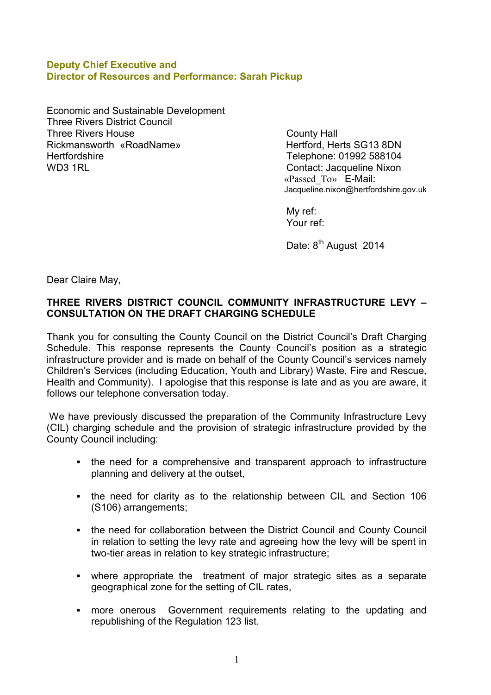#### **Deputy Chief Executive and Director of Resources and Performance: Sarah Pickup**

Economic and Sustainable Development Three Rivers District Council Three Rivers House County Hall Rickmansworth «RoadName» Hertford, Herts SG13 8DN Hertfordshire Telephone: 01992 588104 WD3 1RL Contact: Jacqueline Nixon

«Passed\_To» E-Mail: Jacqueline.nixon@hertfordshire.gov.uk

My ref: Your ref:

Date: 8<sup>th</sup> August 2014

Dear Claire May,

# **THREE RIVERS DISTRICT COUNCIL COMMUNITY INFRASTRUCTURE LEVY – CONSULTATION ON THE DRAFT CHARGING SCHEDULE**

Thank you for consulting the County Council on the District Council's Draft Charging Schedule. This response represents the County Council's position as a strategic infrastructure provider and is made on behalf of the County Council's services namely Children's Services (including Education, Youth and Library) Waste, Fire and Rescue, Health and Community). I apologise that this response is late and as you are aware, it follows our telephone conversation today.

We have previously discussed the preparation of the Community Infrastructure Levy (CIL) charging schedule and the provision of strategic infrastructure provided by the County Council including:

- the need for a comprehensive and transparent approach to infrastructure planning and delivery at the outset,
- the need for clarity as to the relationship between CIL and Section 106 (S106) arrangements;
- the need for collaboration between the District Council and County Council in relation to setting the levy rate and agreeing how the levy will be spent in two-tier areas in relation to key strategic infrastructure;
- where appropriate the treatment of major strategic sites as a separate geographical zone for the setting of CIL rates,
- more onerous Government requirements relating to the updating and republishing of the Regulation 123 list.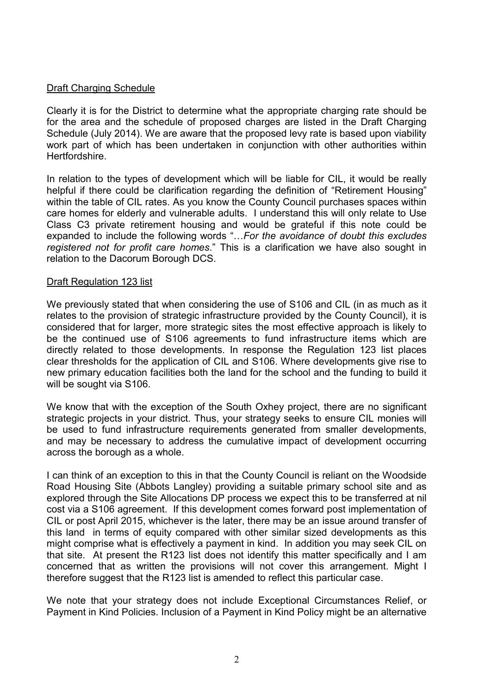## Draft Charging Schedule

Clearly it is for the District to determine what the appropriate charging rate should be for the area and the schedule of proposed charges are listed in the Draft Charging Schedule (July 2014). We are aware that the proposed levy rate is based upon viability work part of which has been undertaken in conjunction with other authorities within Hertfordshire.

In relation to the types of development which will be liable for CIL, it would be really helpful if there could be clarification regarding the definition of "Retirement Housing" within the table of CIL rates. As you know the County Council purchases spaces within care homes for elderly and vulnerable adults. I understand this will only relate to Use Class C3 private retirement housing and would be grateful if this note could be expanded to include the following words "…*For the avoidance of doubt this excludes registered not for profit care homes*." This is a clarification we have also sought in relation to the Dacorum Borough DCS.

#### **Draft Regulation 123 list**

We previously stated that when considering the use of S106 and CIL (in as much as it relates to the provision of strategic infrastructure provided by the County Council), it is considered that for larger, more strategic sites the most effective approach is likely to be the continued use of S106 agreements to fund infrastructure items which are directly related to those developments. In response the Regulation 123 list places clear thresholds for the application of CIL and S106. Where developments give rise to new primary education facilities both the land for the school and the funding to build it will be sought via S106.

We know that with the exception of the South Oxhey project, there are no significant strategic projects in your district. Thus, your strategy seeks to ensure CIL monies will be used to fund infrastructure requirements generated from smaller developments, and may be necessary to address the cumulative impact of development occurring across the borough as a whole.

I can think of an exception to this in that the County Council is reliant on the Woodside Road Housing Site (Abbots Langley) providing a suitable primary school site and as explored through the Site Allocations DP process we expect this to be transferred at nil cost via a S106 agreement. If this development comes forward post implementation of CIL or post April 2015, whichever is the later, there may be an issue around transfer of this land in terms of equity compared with other similar sized developments as this might comprise what is effectively a payment in kind. In addition you may seek CIL on that site. At present the R123 list does not identify this matter specifically and I am concerned that as written the provisions will not cover this arrangement. Might I therefore suggest that the R123 list is amended to reflect this particular case.

We note that your strategy does not include Exceptional Circumstances Relief, or Payment in Kind Policies. Inclusion of a Payment in Kind Policy might be an alternative